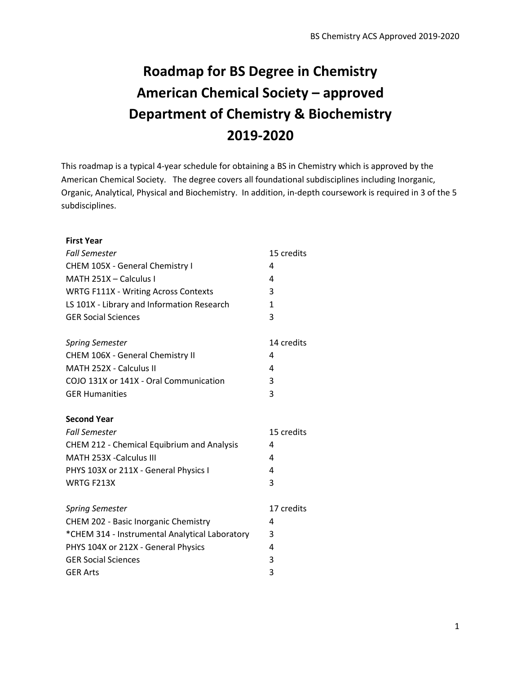# **Roadmap for BS Degree in Chemistry American Chemical Society – approved Department of Chemistry & Biochemistry 2019-2020**

This roadmap is a typical 4-year schedule for obtaining a BS in Chemistry which is approved by the American Chemical Society. The degree covers all foundational subdisciplines including Inorganic, Organic, Analytical, Physical and Biochemistry. In addition, in-depth coursework is required in 3 of the 5 subdisciplines.

| <b>First Year</b>                                 |              |
|---------------------------------------------------|--------------|
| <b>Fall Semester</b>                              | 15 credits   |
| CHEM 105X - General Chemistry I                   | 4            |
| MATH 251X - Calculus I                            | 4            |
| <b>WRTG F111X - Writing Across Contexts</b>       | 3            |
| LS 101X - Library and Information Research        | $\mathbf{1}$ |
| <b>GER Social Sciences</b>                        | 3            |
| <b>Spring Semester</b>                            | 14 credits   |
| CHEM 106X - General Chemistry II                  | 4            |
| MATH 252X - Calculus II                           | 4            |
| COJO 131X or 141X - Oral Communication            | 3            |
| <b>GER Humanities</b>                             | 3            |
| <b>Second Year</b>                                |              |
| <b>Fall Semester</b>                              | 15 credits   |
| <b>CHEM 212 - Chemical Equibrium and Analysis</b> | 4            |
| MATH 253X -Calculus III                           | 4            |
| PHYS 103X or 211X - General Physics I             | 4            |
| WRTG F213X                                        | 3            |
| <b>Spring Semester</b>                            | 17 credits   |
| CHEM 202 - Basic Inorganic Chemistry              | 4            |
| *CHEM 314 - Instrumental Analytical Laboratory    | 3            |
| PHYS 104X or 212X - General Physics               | 4            |
| <b>GER Social Sciences</b>                        | 3            |
| <b>GER Arts</b>                                   | 3            |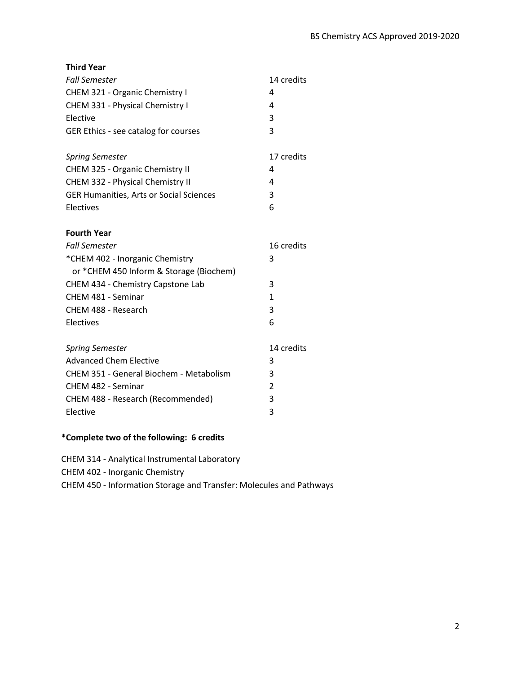| <b>Third Year</b>                              |              |
|------------------------------------------------|--------------|
| <b>Fall Semester</b>                           | 14 credits   |
| CHEM 321 - Organic Chemistry I                 | 4            |
| CHEM 331 - Physical Chemistry I                | 4            |
| Elective                                       | 3            |
| GER Ethics - see catalog for courses           | 3            |
|                                                |              |
| <b>Spring Semester</b>                         | 17 credits   |
| CHEM 325 - Organic Chemistry II                | 4            |
| CHEM 332 - Physical Chemistry II               | 4            |
| <b>GER Humanities, Arts or Social Sciences</b> | 3            |
| Electives                                      | 6            |
|                                                |              |
| <b>Fourth Year</b>                             |              |
| <b>Fall Semester</b>                           | 16 credits   |
| *CHEM 402 - Inorganic Chemistry                | 3            |
| or *CHEM 450 Inform & Storage (Biochem)        |              |
| CHEM 434 - Chemistry Capstone Lab              | 3            |
| CHEM 481 - Seminar                             | $\mathbf{1}$ |
| CHEM 488 - Research                            | 3            |
| Electives                                      | 6            |
|                                                |              |
| <b>Spring Semester</b>                         | 14 credits   |
| <b>Advanced Chem Elective</b>                  | 3            |
| CHEM 351 - General Biochem - Metabolism        | 3            |
| CHEM 482 - Seminar                             | 2            |
| CHEM 488 - Research (Recommended)              | 3            |
| Elective                                       | 3            |
|                                                |              |

### **\*Complete two of the following: 6 credits**

CHEM 314 - Analytical Instrumental Laboratory

CHEM 402 - Inorganic Chemistry

CHEM 450 - Information Storage and Transfer: Molecules and Pathways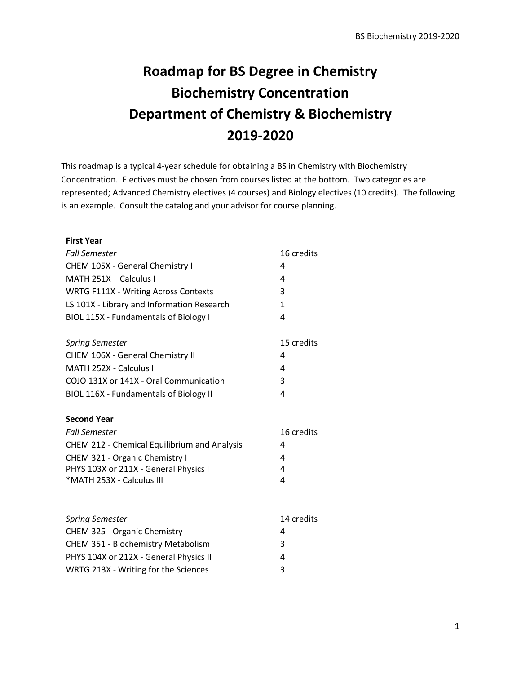# **Roadmap for BS Degree in Chemistry Biochemistry Concentration Department of Chemistry & Biochemistry 2019-2020**

This roadmap is a typical 4-year schedule for obtaining a BS in Chemistry with Biochemistry Concentration. Electives must be chosen from courses listed at the bottom. Two categories are represented; Advanced Chemistry electives (4 courses) and Biology electives (10 credits). The following is an example. Consult the catalog and your advisor for course planning.

| <b>First Year</b>                            |              |
|----------------------------------------------|--------------|
| <b>Fall Semester</b>                         | 16 credits   |
| CHEM 105X - General Chemistry I              | 4            |
| MATH 251X - Calculus I                       | 4            |
| <b>WRTG F111X - Writing Across Contexts</b>  | 3            |
| LS 101X - Library and Information Research   | $\mathbf{1}$ |
| BIOL 115X - Fundamentals of Biology I        | 4            |
| <b>Spring Semester</b>                       | 15 credits   |
| CHEM 106X - General Chemistry II             | 4            |
| MATH 252X - Calculus II                      | 4            |
| COJO 131X or 141X - Oral Communication       | 3            |
| BIOL 116X - Fundamentals of Biology II       | 4            |
| <b>Second Year</b>                           |              |
| <b>Fall Semester</b>                         | 16 credits   |
| CHEM 212 - Chemical Equilibrium and Analysis | 4            |
| CHEM 321 - Organic Chemistry I               | 4            |
| PHYS 103X or 211X - General Physics I        | 4            |
| *MATH 253X - Calculus III                    | 4            |
| <b>Spring Semester</b>                       | 14 credits   |
| CHEM 325 - Organic Chemistry                 | 4            |
| CHEM 351 - Biochemistry Metabolism           | 3            |
| PHYS 104X or 212X - General Physics II       | 4            |
| WRTG 213X - Writing for the Sciences         | 3            |
|                                              |              |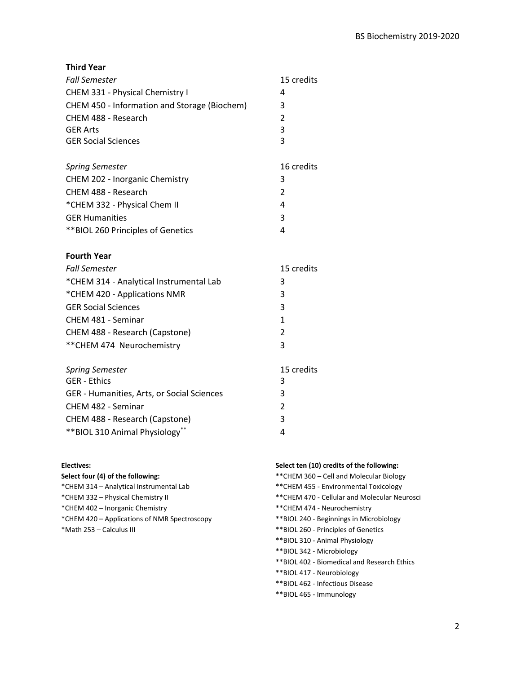**Third Year**

| <b>Fall Semester</b>                         | 15 credits     |
|----------------------------------------------|----------------|
| CHEM 331 - Physical Chemistry I              | 4              |
| CHEM 450 - Information and Storage (Biochem) | 3              |
| CHEM 488 - Research                          | 2              |
| <b>GER Arts</b>                              | 3              |
| <b>GER Social Sciences</b>                   | 3              |
|                                              |                |
| <b>Spring Semester</b>                       | 16 credits     |
| CHEM 202 - Inorganic Chemistry               | 3              |
| CHEM 488 - Research                          | $\mathfrak{p}$ |
| *CHEM 332 - Physical Chem II                 | 4              |
| <b>GER Humanities</b>                        | 3              |
| ** BIOL 260 Principles of Genetics           | 4              |
| <b>Fourth Year</b>                           |                |
|                                              |                |

| <b>Fall Semester</b>                    | 15 credits |
|-----------------------------------------|------------|
| *CHEM 314 - Analytical Instrumental Lab | 3          |
| *CHEM 420 - Applications NMR            | 3          |
| <b>GER Social Sciences</b>              | 3          |
| CHEM 481 - Seminar                      | 1          |
| CHEM 488 - Research (Capstone)          | 2          |
| ** CHEM 474 Neurochemistry              | 3          |
|                                         |            |

| <b>Spring Semester</b>                     | 15 credits    |
|--------------------------------------------|---------------|
| <b>GER - Ethics</b>                        | 3             |
| GER - Humanities, Arts, or Social Sciences | 3             |
| CHEM 482 - Seminar                         | $\mathcal{P}$ |
| CHEM 488 - Research (Capstone)             | 3             |
| ** BIOL 310 Animal Physiology**            | Δ             |

#### **Electives:**

| Select four (4) of the following:            |
|----------------------------------------------|
| *CHEM 314 - Analytical Instrumental Lab      |
| *CHEM 332 - Physical Chemistry II            |
| *CHEM 402 – Inorganic Chemistry              |
| *CHEM 420 – Applications of NMR Spectroscopy |
| *Math 253 – Calculus III                     |

### **Select ten (10) credits of the following:**

| ** CHEM 360 – Cell and Molecular Biology     |
|----------------------------------------------|
| **CHEM 455 - Environmental Toxicology        |
| **CHEM 470 - Cellular and Molecular Neurosci |
| ** CHEM 474 - Neurochemistry                 |
| **BIOL 240 - Beginnings in Microbiology      |
| **BIOL 260 - Principles of Genetics          |
| **BIOL 310 - Animal Physiology               |
| **BIOL 342 - Microbiology                    |
| **BIOL 402 - Biomedical and Research Ethics  |
| **BIOL 417 - Neurobiology                    |
| **BIOL 462 - Infectious Disease              |

\*\*BIOL 465 - Immunology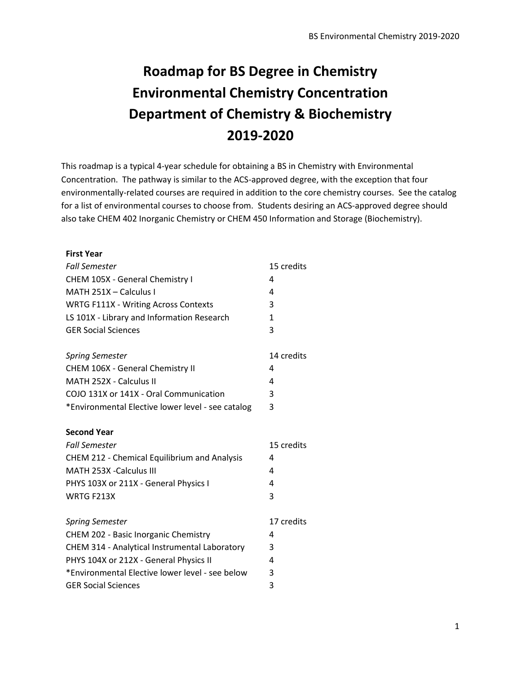# **Roadmap for BS Degree in Chemistry Environmental Chemistry Concentration Department of Chemistry & Biochemistry 2019-2020**

This roadmap is a typical 4-year schedule for obtaining a BS in Chemistry with Environmental Concentration. The pathway is similar to the ACS-approved degree, with the exception that four environmentally-related courses are required in addition to the core chemistry courses. See the catalog for a list of environmental courses to choose from. Students desiring an ACS-approved degree should also take CHEM 402 Inorganic Chemistry or CHEM 450 Information and Storage (Biochemistry).

| <b>First Year</b>                                 |            |
|---------------------------------------------------|------------|
| <b>Fall Semester</b>                              | 15 credits |
| CHEM 105X - General Chemistry I                   | 4          |
| MATH 251X - Calculus I                            | 4          |
| <b>WRTG F111X - Writing Across Contexts</b>       | 3          |
| LS 101X - Library and Information Research        | 1          |
| <b>GER Social Sciences</b>                        | 3          |
| <b>Spring Semester</b>                            | 14 credits |
| CHEM 106X - General Chemistry II                  | 4          |
| MATH 252X - Calculus II                           | 4          |
| COJO 131X or 141X - Oral Communication            | 3          |
| *Environmental Elective lower level - see catalog | 3          |
| <b>Second Year</b>                                |            |
| <b>Fall Semester</b>                              | 15 credits |
| CHEM 212 - Chemical Equilibrium and Analysis      | 4          |
| MATH 253X -Calculus III                           | 4          |
| PHYS 103X or 211X - General Physics I             | 4          |
| WRTG F213X                                        | 3          |
| <b>Spring Semester</b>                            | 17 credits |
| CHEM 202 - Basic Inorganic Chemistry              | 4          |
| CHEM 314 - Analytical Instrumental Laboratory     | 3          |
| PHYS 104X or 212X - General Physics II            | 4          |
| *Environmental Elective lower level - see below   | 3          |
| <b>GER Social Sciences</b>                        | 3          |